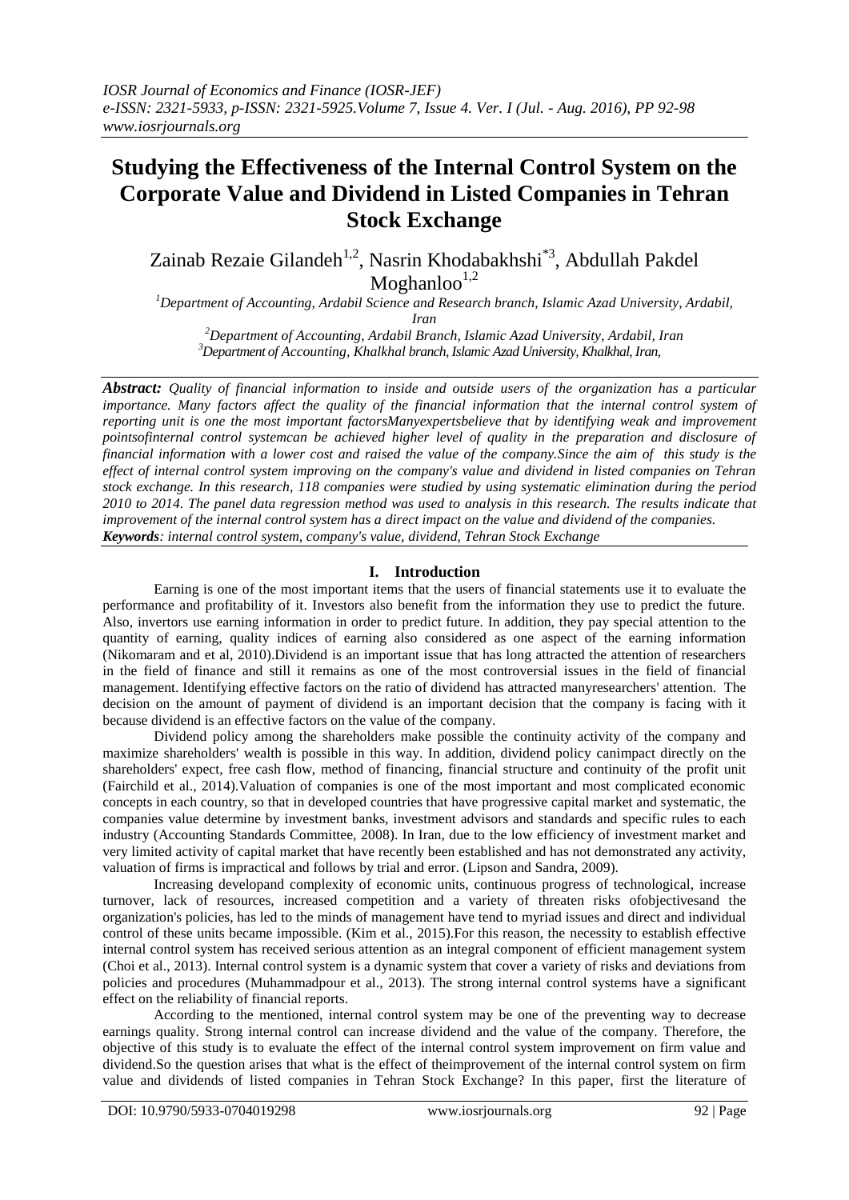# **Studying the Effectiveness of the Internal Control System on the Corporate Value and Dividend in Listed Companies in Tehran Stock Exchange**

Zainab Rezaie Gilandeh<sup>1,2</sup>, Nasrin Khodabakhshi<sup>\*3</sup>, Abdullah Pakdel Moghanloo $^{1,2}$ 

*<sup>1</sup>Department of Accounting, Ardabil Science and Research branch, Islamic Azad University, Ardabil, Iran*

*<sup>2</sup>Department of Accounting, Ardabil Branch, Islamic Azad University, Ardabil, Iran <sup>3</sup>Department of Accounting, Khalkhal branch, Islamic Azad University, Khalkhal, Iran,*

*Abstract: Quality of financial information to inside and outside users of the organization has a particular importance. Many factors affect the quality of the financial information that the internal control system of reporting unit is one the most important factorsManyexpertsbelieve that by identifying weak and improvement pointsofinternal control systemcan be achieved higher level of quality in the preparation and disclosure of financial information with a lower cost and raised the value of the company.Since the aim of this study is the effect of internal control system improving on the company's value and dividend in listed companies on Tehran stock exchange. In this research, 118 companies were studied by using systematic elimination during the period 2010 to 2014. The panel data regression method was used to analysis in this research. The results indicate that improvement of the internal control system has a direct impact on the value and dividend of the companies. Keywords: internal control system, company's value, dividend, Tehran Stock Exchange*

# **I. Introduction**

Earning is one of the most important items that the users of financial statements use it to evaluate the performance and profitability of it. Investors also benefit from the information they use to predict the future. Also, invertors use earning information in order to predict future. In addition, they pay special attention to the quantity of earning, quality indices of earning also considered as one aspect of the earning information (Nikomaram and et al, 2010).Dividend is an important issue that has long attracted the attention of researchers in the field of finance and still it remains as one of the most controversial issues in the field of financial management. Identifying effective factors on the ratio of dividend has attracted manyresearchers' attention. The decision on the amount of payment of dividend is an important decision that the company is facing with it because dividend is an effective factors on the value of the company.

Dividend policy among the shareholders make possible the continuity activity of the company and maximize shareholders' wealth is possible in this way. In addition, dividend policy canimpact directly on the shareholders' expect, free cash flow, method of financing, financial structure and continuity of the profit unit (Fairchild et al., 2014).Valuation of companies is one of the most important and most complicated economic concepts in each country, so that in developed countries that have progressive capital market and systematic, the companies value determine by investment banks, investment advisors and standards and specific rules to each industry (Accounting Standards Committee, 2008). In Iran, due to the low efficiency of investment market and very limited activity of capital market that have recently been established and has not demonstrated any activity, valuation of firms is impractical and follows by trial and error. (Lipson and Sandra, 2009).

Increasing developand complexity of economic units, continuous progress of technological, increase turnover, lack of resources, increased competition and a variety of threaten risks ofobjectivesand the organization's policies, has led to the minds of management have tend to myriad issues and direct and individual control of these units became impossible. (Kim et al., 2015).For this reason, the necessity to establish effective internal control system has received serious attention as an integral component of efficient management system (Choi et al., 2013). Internal control system is a dynamic system that cover a variety of risks and deviations from policies and procedures (Muhammadpour et al., 2013). The strong internal control systems have a significant effect on the reliability of financial reports.

According to the mentioned, internal control system may be one of the preventing way to decrease earnings quality. Strong internal control can increase dividend and the value of the company. Therefore, the objective of this study is to evaluate the effect of the internal control system improvement on firm value and dividend.So the question arises that what is the effect of theimprovement of the internal control system on firm value and dividends of listed companies in Tehran Stock Exchange? In this paper, first the literature of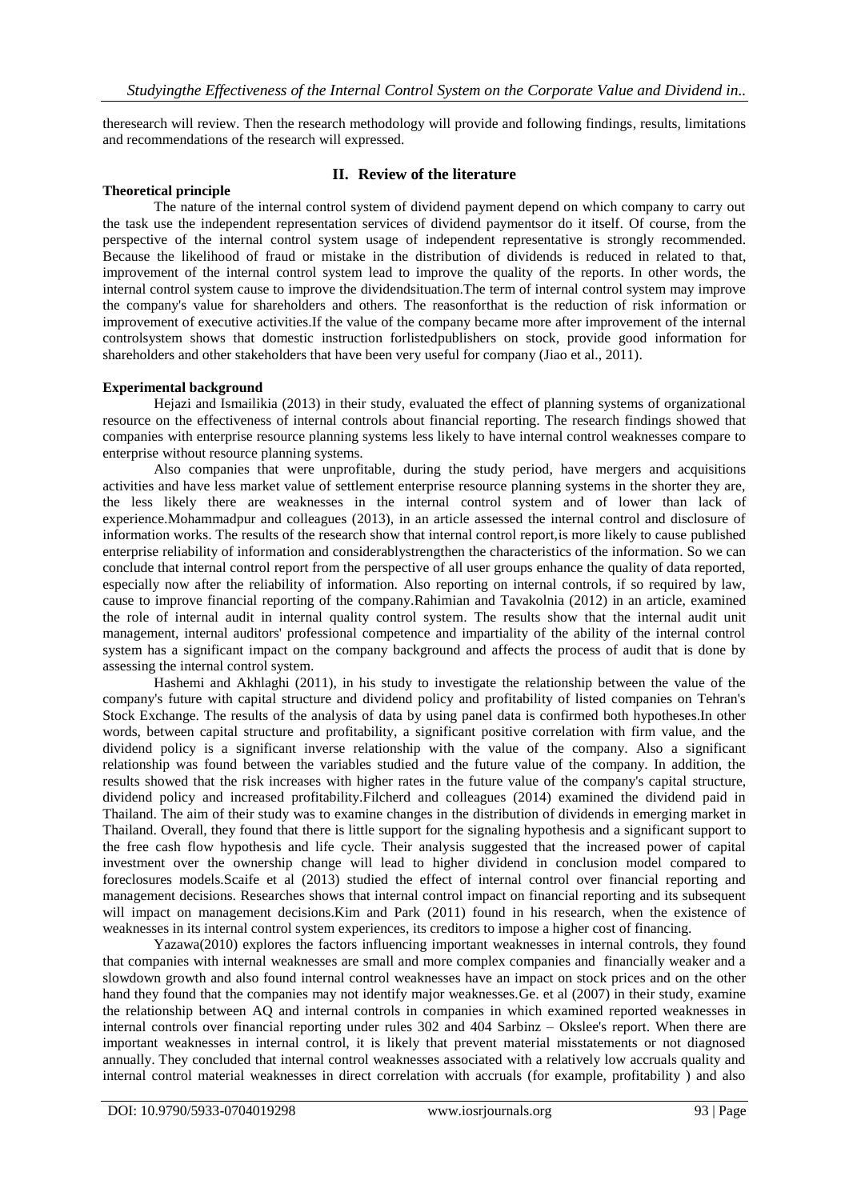theresearch will review. Then the research methodology will provide and following findings, results, limitations and recommendations of the research will expressed.

### **Theoretical principle**

### **II. Review of the literature**

The nature of the internal control system of dividend payment depend on which company to carry out the task use the independent representation services of dividend paymentsor do it itself. Of course, from the perspective of the internal control system usage of independent representative is strongly recommended. Because the likelihood of fraud or mistake in the distribution of dividends is reduced in related to that, improvement of the internal control system lead to improve the quality of the reports. In other words, the internal control system cause to improve the dividendsituation.The term of internal control system may improve the company's value for shareholders and others. The reasonforthat is the reduction of risk information or improvement of executive activities.If the value of the company became more after improvement of the internal controlsystem shows that domestic instruction forlistedpublishers on stock, provide good information for shareholders and other stakeholders that have been very useful for company (Jiao et al., 2011).

### **Experimental background**

Hejazi and Ismailikia (2013) in their study, evaluated the effect of planning systems of organizational resource on the effectiveness of internal controls about financial reporting. The research findings showed that companies with enterprise resource planning systems less likely to have internal control weaknesses compare to enterprise without resource planning systems.

Also companies that were unprofitable, during the study period, have mergers and acquisitions activities and have less market value of settlement enterprise resource planning systems in the shorter they are, the less likely there are weaknesses in the internal control system and of lower than lack of experience.Mohammadpur and colleagues (2013), in an article assessed the internal control and disclosure of information works. The results of the research show that internal control report,is more likely to cause published enterprise reliability of information and considerablystrengthen the characteristics of the information. So we can conclude that internal control report from the perspective of all user groups enhance the quality of data reported, especially now after the reliability of information. Also reporting on internal controls, if so required by law, cause to improve financial reporting of the company.Rahimian and Tavakolnia (2012) in an article, examined the role of internal audit in internal quality control system. The results show that the internal audit unit management, internal auditors' professional competence and impartiality of the ability of the internal control system has a significant impact on the company background and affects the process of audit that is done by assessing the internal control system.

Hashemi and Akhlaghi (2011), in his study to investigate the relationship between the value of the company's future with capital structure and dividend policy and profitability of listed companies on Tehran's Stock Exchange. The results of the analysis of data by using panel data is confirmed both hypotheses.In other words, between capital structure and profitability, a significant positive correlation with firm value, and the dividend policy is a significant inverse relationship with the value of the company. Also a significant relationship was found between the variables studied and the future value of the company. In addition, the results showed that the risk increases with higher rates in the future value of the company's capital structure, dividend policy and increased profitability.Filcherd and colleagues (2014) examined the dividend paid in Thailand. The aim of their study was to examine changes in the distribution of dividends in emerging market in Thailand. Overall, they found that there is little support for the signaling hypothesis and a significant support to the free cash flow hypothesis and life cycle. Their analysis suggested that the increased power of capital investment over the ownership change will lead to higher dividend in conclusion model compared to foreclosures models.Scaife et al (2013) studied the effect of internal control over financial reporting and management decisions. Researches shows that internal control impact on financial reporting and its subsequent will impact on management decisions. Kim and Park (2011) found in his research, when the existence of weaknesses in its internal control system experiences, its creditors to impose a higher cost of financing.

Yazawa(2010) explores the factors influencing important weaknesses in internal controls, they found that companies with internal weaknesses are small and more complex companies and financially weaker and a slowdown growth and also found internal control weaknesses have an impact on stock prices and on the other hand they found that the companies may not identify major weaknesses.Ge. et al (2007) in their study, examine the relationship between AQ and internal controls in companies in which examined reported weaknesses in internal controls over financial reporting under rules 302 and 404 Sarbinz – Okslee's report. When there are important weaknesses in internal control, it is likely that prevent material misstatements or not diagnosed annually. They concluded that internal control weaknesses associated with a relatively low accruals quality and internal control material weaknesses in direct correlation with accruals (for example, profitability ) and also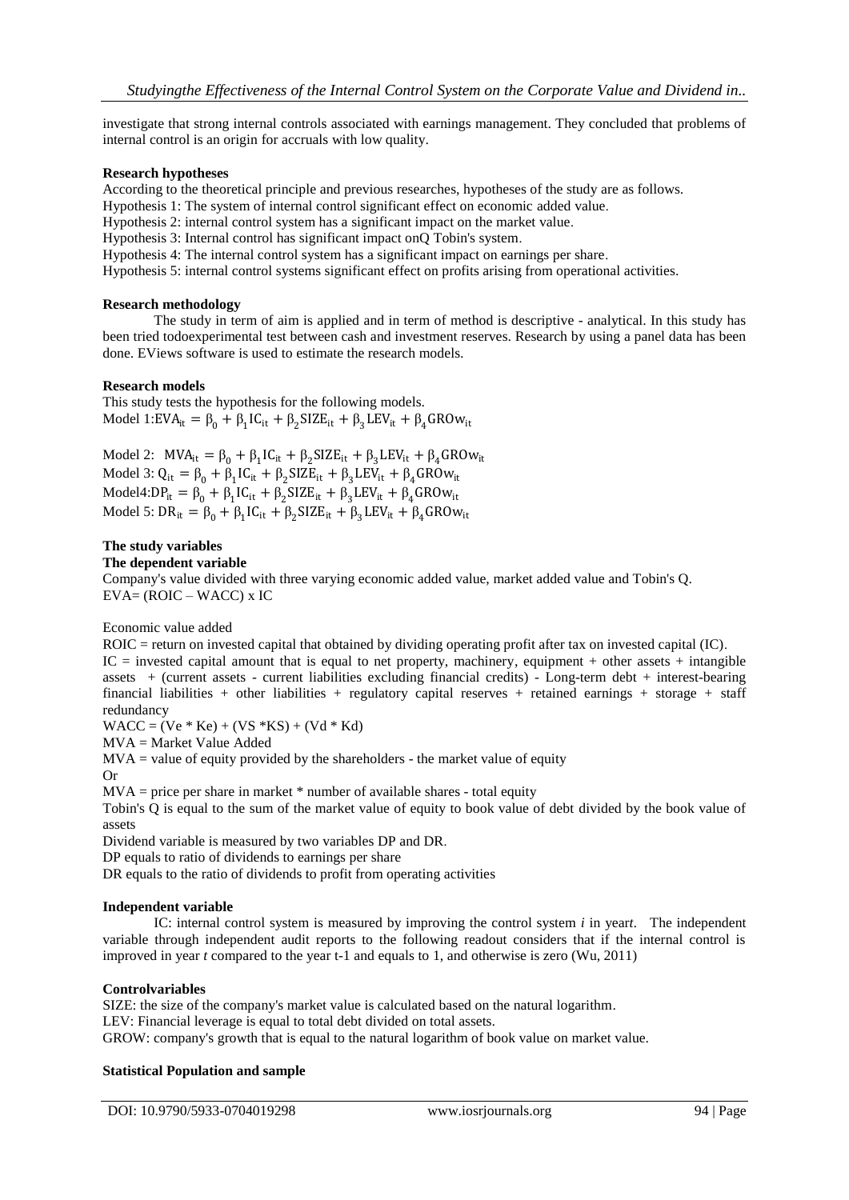investigate that strong internal controls associated with earnings management. They concluded that problems of internal control is an origin for accruals with low quality.

### **Research hypotheses**

According to the theoretical principle and previous researches, hypotheses of the study are as follows.

Hypothesis 1: The system of internal control significant effect on economic added value.

Hypothesis 2: internal control system has a significant impact on the market value.

Hypothesis 3: Internal control has significant impact onQ Tobin's system.

Hypothesis 4: The internal control system has a significant impact on earnings per share.

Hypothesis 5: internal control systems significant effect on profits arising from operational activities.

### **Research methodology**

The study in term of aim is applied and in term of method is descriptive - analytical. In this study has been tried todoexperimental test between cash and investment reserves. Research by using a panel data has been done. EViews software is used to estimate the research models.

### **Research models**

This study tests the hypothesis for the following models. Model 1:EVA<sub>it</sub> =  $\beta_0 + \beta_1 IC_{it} + \beta_2 SIZE_{it} + \beta_3 LEV_{it} + \beta_4 GROW_{it}$ 

Model 2:  $MVA_{it} = \beta_0 + \beta_1 IC_{it} + \beta_2 SIZE_{it} + \beta_3 LEV_{it} + \beta_4 GROW_{it}$ Model 3:  $Q_{it} = \beta_0 + \beta_1 IC_{it} + \beta_2 SIZE_{it} + \beta_3 LEV_{it} + \beta_4 GROW_{it}$ Model4: $DP_{it} = \beta_0 + \beta_1 IC_{it} + \beta_2 SIZE_{it} + \beta_3 LEV_{it} + \beta_4 GROW_{it}$ Model 5:  $DR_{it} = \beta_0 + \beta_1 IC_{it} + \beta_2 SIZE_{it} + \beta_3 LEV_{it} + \beta_4 GROW_{it}$ 

### **The study variables**

### **The dependent variable**

Company's value divided with three varying economic added value, market added value and Tobin's Q. EVA= (ROIC – WACC) x IC

Economic value added

ROIC = return on invested capital that obtained by dividing operating profit after tax on invested capital (IC).  $IC =$  invested capital amount that is equal to net property, machinery, equipment + other assets + intangible assets + (current assets - current liabilities excluding financial credits) - Long-term debt + interest-bearing financial liabilities + other liabilities + regulatory capital reserves + retained earnings + storage + staff redundancy

 $WACC = (Ve * Ke) + (VS * KS) + (Vd * Kd)$ 

MVA = Market Value Added

 $MVA =$  value of equity provided by the shareholders - the market value of equity Or

 $MVA = price$  per share in market  $*$  number of available shares - total equity

Tobin's Q is equal to the sum of the market value of equity to book value of debt divided by the book value of assets

Dividend variable is measured by two variables DP and DR.

DP equals to ratio of dividends to earnings per share

DR equals to the ratio of dividends to profit from operating activities

### **Independent variable**

IC: internal control system is measured by improving the control system *i* in year*t*. The independent variable through independent audit reports to the following readout considers that if the internal control is improved in year *t* compared to the year t-1 and equals to 1, and otherwise is zero (Wu, 2011)

### **Controlvariables**

SIZE: the size of the company's market value is calculated based on the natural logarithm.

LEV: Financial leverage is equal to total debt divided on total assets.

GROW: company's growth that is equal to the natural logarithm of book value on market value.

# **Statistical Population and sample**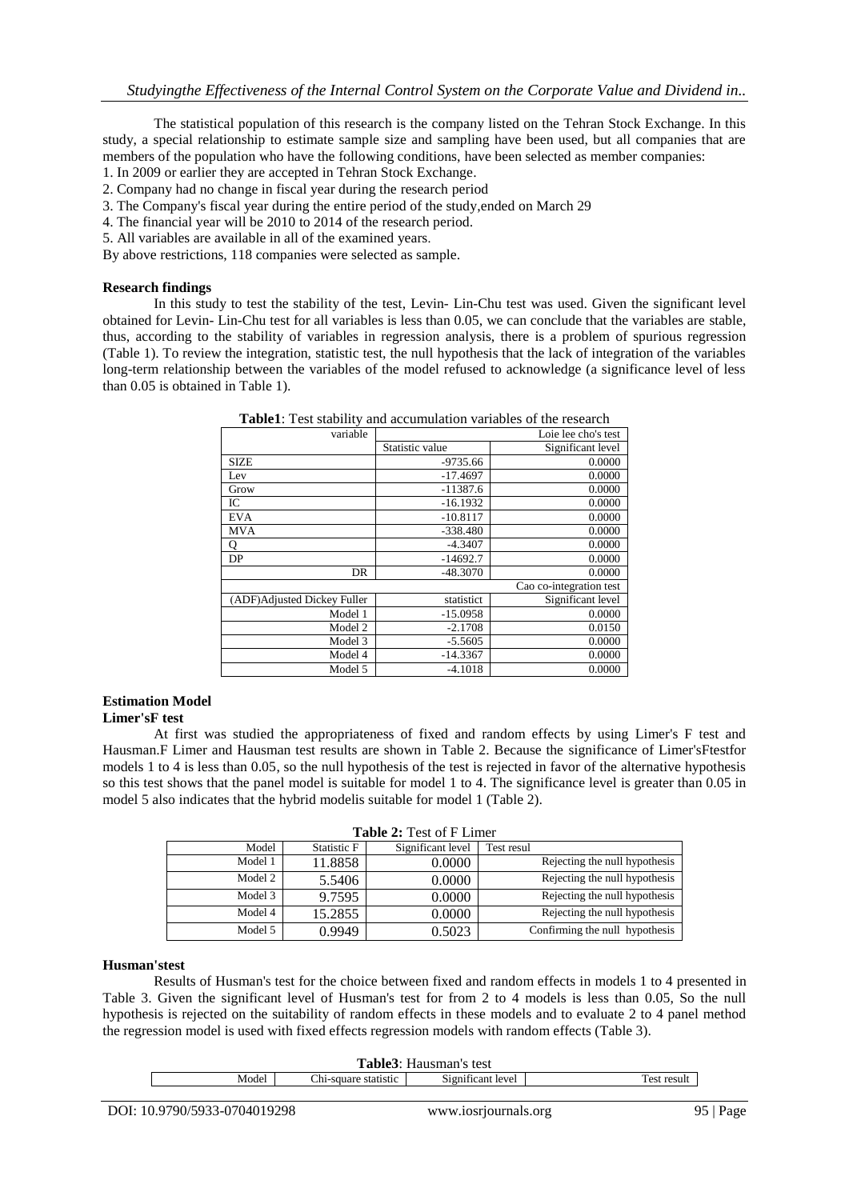The statistical population of this research is the company listed on the Tehran Stock Exchange. In this study, a special relationship to estimate sample size and sampling have been used, but all companies that are members of the population who have the following conditions, have been selected as member companies:

- 1. In 2009 or earlier they are accepted in Tehran Stock Exchange.
- 2. Company had no change in fiscal year during the research period
- 3. The Company's fiscal year during the entire period of the study,ended on March 29
- 4. The financial year will be 2010 to 2014 of the research period.
- 5. All variables are available in all of the examined years.

By above restrictions, 118 companies were selected as sample.

### **Research findings**

In this study to test the stability of the test, Levin- Lin-Chu test was used. Given the significant level obtained for Levin- Lin-Chu test for all variables is less than 0.05, we can conclude that the variables are stable, thus, according to the stability of variables in regression analysis, there is a problem of spurious regression (Table 1). To review the integration, statistic test, the null hypothesis that the lack of integration of the variables long-term relationship between the variables of the model refused to acknowledge (a significance level of less than 0.05 is obtained in Table 1).

| variable                    | Loie lee cho's test |                   |  |  |  |
|-----------------------------|---------------------|-------------------|--|--|--|
|                             | Statistic value     | Significant level |  |  |  |
| <b>SIZE</b>                 | $-9735.66$          | 0.0000            |  |  |  |
| Lev                         | $-17.4697$          | 0.0000            |  |  |  |
| Grow                        | $-11387.6$          | 0.0000            |  |  |  |
| IC                          | $-16.1932$          | 0.0000            |  |  |  |
| EVA                         | $-10.8117$          | 0.0000            |  |  |  |
| <b>MVA</b>                  | $-338.480$          | 0.0000            |  |  |  |
| о                           | $-4.3407$           | 0.0000            |  |  |  |
| DP                          | $-14692.7$          | 0.0000            |  |  |  |
| DR                          | $-48.3070$          | 0.0000            |  |  |  |
| Cao co-integration test     |                     |                   |  |  |  |
| (ADF)Adjusted Dickey Fuller | statistict          | Significant level |  |  |  |
| Model 1                     | $-15.0958$          | 0.0000            |  |  |  |
| Model 2                     | $-2.1708$           | 0.0150            |  |  |  |
| Model 3                     | $-5.5605$           | 0.0000            |  |  |  |
| Model 4                     | $-14.3367$          | 0.0000            |  |  |  |
| Model 5                     | $-4.1018$           | 0.0000            |  |  |  |

**Table1**: Test stability and accumulation variables of the research

# **Estimation Model**

### **Limer'sF test**

At first was studied the appropriateness of fixed and random effects by using Limer's F test and Hausman.F Limer and Hausman test results are shown in Table 2. Because the significance of Limer'sFtestfor models 1 to 4 is less than 0.05, so the null hypothesis of the test is rejected in favor of the alternative hypothesis so this test shows that the panel model is suitable for model 1 to 4. The significance level is greater than 0.05 in model 5 also indicates that the hybrid modelis suitable for model 1 (Table 2).

| <b>Table 2: Test of F Limer</b> |             |                   |                                |  |  |  |  |
|---------------------------------|-------------|-------------------|--------------------------------|--|--|--|--|
| Model                           | Statistic F | Significant level | Test resul                     |  |  |  |  |
| Model 1                         | 11.8858     | 0.0000            | Rejecting the null hypothesis  |  |  |  |  |
| Model 2                         | 5.5406      | 0.0000            | Rejecting the null hypothesis  |  |  |  |  |
| Model 3                         | 9.7595      | 0.0000            | Rejecting the null hypothesis  |  |  |  |  |
| Model 4                         | 15.2855     | 0.0000            | Rejecting the null hypothesis  |  |  |  |  |
| Model 5                         | 0.9949      | 0.5023            | Confirming the null hypothesis |  |  |  |  |

### **Husman'stest**

Results of Husman's test for the choice between fixed and random effects in models 1 to 4 presented in Table 3. Given the significant level of Husman's test for from 2 to 4 models is less than 0.05, So the null hypothesis is rejected on the suitability of random effects in these models and to evaluate 2 to 4 panel method the regression model is used with fixed effects regression models with random effects (Table 3).

|                                                    | <b>Table3</b> : Hausman's test |  |  |  |  |  |
|----------------------------------------------------|--------------------------------|--|--|--|--|--|
| Chi-square statistic<br>Significant level<br>Model | result<br>est                  |  |  |  |  |  |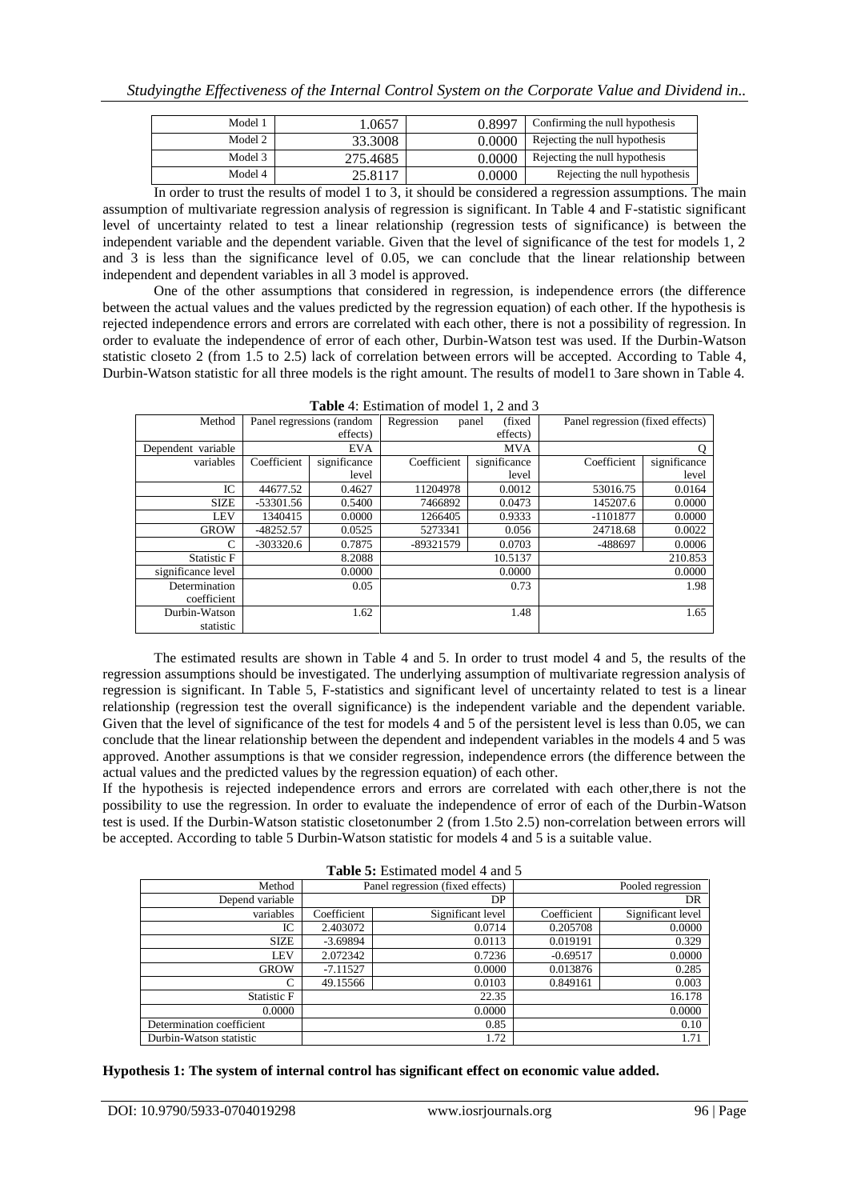| Model 1 | 1.0657   | 0.8997 | Confirming the null hypothesis |
|---------|----------|--------|--------------------------------|
| Model 2 | 33.3008  | 0.0000 | Rejecting the null hypothesis  |
| Model 3 |          |        | Rejecting the null hypothesis  |
|         | 275.4685 | 0.0000 |                                |
| Model 4 | 25.8117  | 0.0000 | Rejecting the null hypothesis  |

In order to trust the results of model 1 to 3, it should be considered a regression assumptions. The main assumption of multivariate regression analysis of regression is significant. In Table 4 and F-statistic significant level of uncertainty related to test a linear relationship (regression tests of significance) is between the independent variable and the dependent variable. Given that the level of significance of the test for models 1, 2 and 3 is less than the significance level of 0.05, we can conclude that the linear relationship between independent and dependent variables in all 3 model is approved.

One of the other assumptions that considered in regression, is independence errors (the difference between the actual values and the values predicted by the regression equation) of each other. If the hypothesis is rejected independence errors and errors are correlated with each other, there is not a possibility of regression. In order to evaluate the independence of error of each other, Durbin-Watson test was used. If the Durbin-Watson statistic closeto 2 (from 1.5 to 2.5) lack of correlation between errors will be accepted. According to Table 4, Durbin-Watson statistic for all three models is the right amount. The results of model1 to 3are shown in Table 4.

| Method             |             | Panel regressions (random | Regression  | (fixed)<br>panel | Panel regression (fixed effects) |              |
|--------------------|-------------|---------------------------|-------------|------------------|----------------------------------|--------------|
|                    |             | effects)                  | effects)    |                  |                                  |              |
| Dependent variable |             | <b>EVA</b>                |             | <b>MVA</b>       |                                  | Q            |
| variables          | Coefficient | significance              | Coefficient | significance     | Coefficient                      | significance |
|                    |             | level                     |             | level            |                                  | level        |
| IC                 | 44677.52    | 0.4627                    | 11204978    | 0.0012           | 53016.75                         | 0.0164       |
| <b>SIZE</b>        | $-53301.56$ | 0.5400                    | 7466892     | 0.0473           | 145207.6                         | 0.0000       |
| <b>LEV</b>         | 1340415     | 0.0000                    | 1266405     | 0.9333           | $-1101877$                       | 0.0000       |
| <b>GROW</b>        | $-48252.57$ | 0.0525                    | 5273341     | 0.056            | 24718.68                         | 0.0022       |
| C                  | $-303320.6$ | 0.7875                    | -89321579   | 0.0703           | -488697                          | 0.0006       |
| Statistic F        |             | 8.2088                    |             | 10.5137          |                                  | 210.853      |
| significance level |             | 0.0000                    |             | 0.0000           |                                  | 0.0000       |
| Determination      |             | 0.05                      |             | 0.73             |                                  | 1.98         |
| coefficient        |             |                           |             |                  |                                  |              |
| Durbin-Watson      |             | 1.62                      |             | 1.48             |                                  | 1.65         |
| statistic          |             |                           |             |                  |                                  |              |

The estimated results are shown in Table 4 and 5. In order to trust model 4 and 5, the results of the regression assumptions should be investigated. The underlying assumption of multivariate regression analysis of regression is significant. In Table 5, F-statistics and significant level of uncertainty related to test is a linear relationship (regression test the overall significance) is the independent variable and the dependent variable. Given that the level of significance of the test for models 4 and 5 of the persistent level is less than 0.05, we can conclude that the linear relationship between the dependent and independent variables in the models 4 and 5 was approved. Another assumptions is that we consider regression, independence errors (the difference between the actual values and the predicted values by the regression equation) of each other.

If the hypothesis is rejected independence errors and errors are correlated with each other,there is not the possibility to use the regression. In order to evaluate the independence of error of each of the Durbin-Watson test is used. If the Durbin-Watson statistic closetonumber 2 (from 1.5to 2.5) non-correlation between errors will be accepted. According to table 5 Durbin-Watson statistic for models 4 and 5 is a suitable value.

| <b>Table 5.</b> Estimated model + and $\beta$ |             |                                  |             |                   |  |  |
|-----------------------------------------------|-------------|----------------------------------|-------------|-------------------|--|--|
| Method                                        |             | Panel regression (fixed effects) |             | Pooled regression |  |  |
| Depend variable                               |             | DP                               |             | DR                |  |  |
| variables                                     | Coefficient | Significant level                | Coefficient | Significant level |  |  |
| IC                                            | 2.403072    | 0.0714                           | 0.205708    | 0.0000            |  |  |
| <b>SIZE</b>                                   | $-3.69894$  | 0.0113                           | 0.019191    | 0.329             |  |  |
| LEV                                           | 2.072342    | 0.7236                           | $-0.69517$  | 0.0000            |  |  |
| <b>GROW</b>                                   | $-7.11527$  | 0.0000                           | 0.013876    | 0.285             |  |  |
| C                                             | 49.15566    | 0.0103                           | 0.849161    | 0.003             |  |  |
| Statistic F                                   |             | 22.35                            |             | 16.178            |  |  |

Determination coefficient 0.85 0.10 Durbin-Watson statistic 1.72 1.71

**Table 5:** Estimated model 4 and 5

**Hypothesis 1: The system of internal control has significant effect on economic value added.**

 $0.0000$  0.0000 0.0000 0.0000 0.0000 0.0000 0.0000 0.0000 0.0000 0.0000 0.0000 0.0000 0.0000 0.0000 0.0000 0.000 0.000 0.000 0.000 0.000 0.000 0.000 0.000 0.000 0.000 0.000 0.000 0.000 0.000 0.000 0.000 0.000 0.000 0.000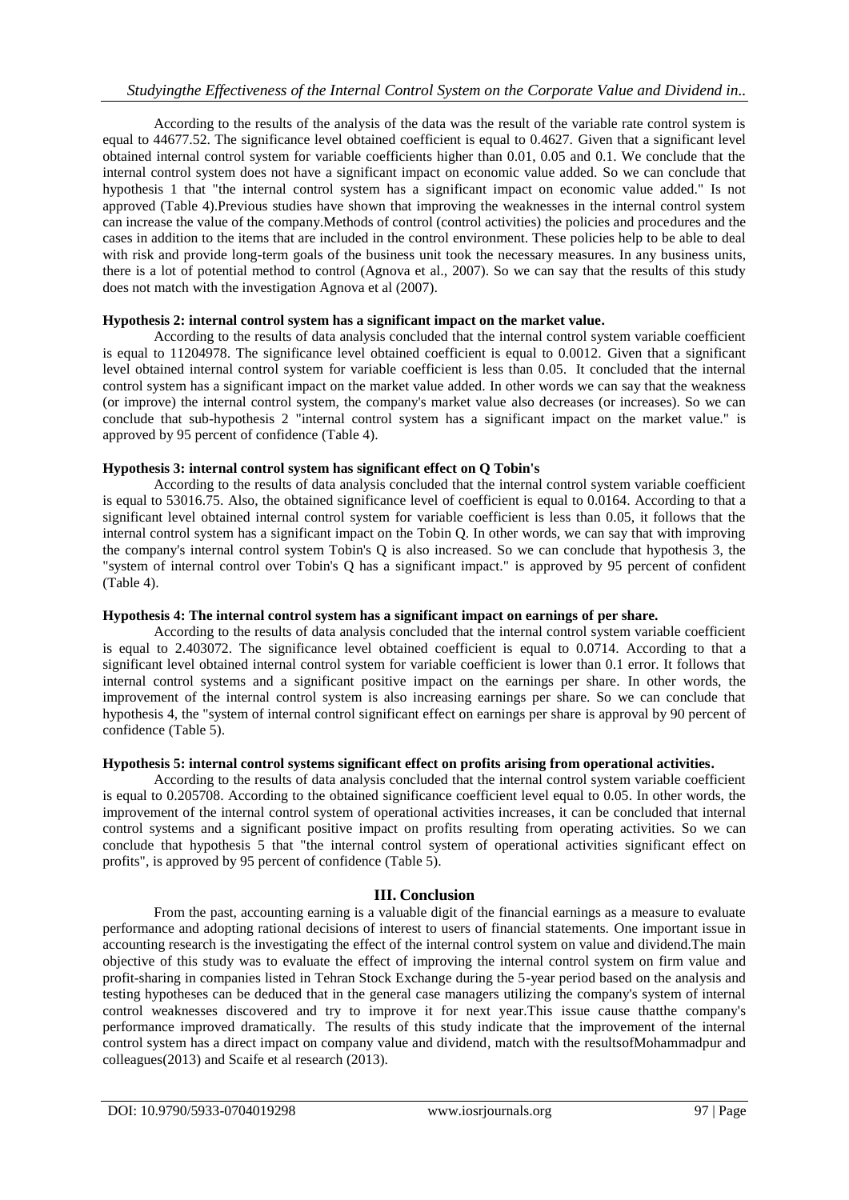According to the results of the analysis of the data was the result of the variable rate control system is equal to 44677.52. The significance level obtained coefficient is equal to 0.4627. Given that a significant level obtained internal control system for variable coefficients higher than 0.01, 0.05 and 0.1. We conclude that the internal control system does not have a significant impact on economic value added. So we can conclude that hypothesis 1 that "the internal control system has a significant impact on economic value added." Is not approved (Table 4).Previous studies have shown that improving the weaknesses in the internal control system can increase the value of the company.Methods of control (control activities) the policies and procedures and the cases in addition to the items that are included in the control environment. These policies help to be able to deal with risk and provide long-term goals of the business unit took the necessary measures. In any business units, there is a lot of potential method to control (Agnova et al., 2007). So we can say that the results of this study does not match with the investigation Agnova et al (2007).

### **Hypothesis 2: internal control system has a significant impact on the market value.**

According to the results of data analysis concluded that the internal control system variable coefficient is equal to 11204978. The significance level obtained coefficient is equal to 0.0012. Given that a significant level obtained internal control system for variable coefficient is less than 0.05. It concluded that the internal control system has a significant impact on the market value added. In other words we can say that the weakness (or improve) the internal control system, the company's market value also decreases (or increases). So we can conclude that sub-hypothesis 2 "internal control system has a significant impact on the market value." is approved by 95 percent of confidence (Table 4).

### **Hypothesis 3: internal control system has significant effect on Q Tobin's**

According to the results of data analysis concluded that the internal control system variable coefficient is equal to 53016.75. Also, the obtained significance level of coefficient is equal to 0.0164. According to that a significant level obtained internal control system for variable coefficient is less than 0.05, it follows that the internal control system has a significant impact on the Tobin Q. In other words, we can say that with improving the company's internal control system Tobin's Q is also increased. So we can conclude that hypothesis 3, the "system of internal control over Tobin's Q has a significant impact." is approved by 95 percent of confident (Table 4).

# **Hypothesis 4: The internal control system has a significant impact on earnings of per share.**

According to the results of data analysis concluded that the internal control system variable coefficient is equal to 2.403072. The significance level obtained coefficient is equal to 0.0714. According to that a significant level obtained internal control system for variable coefficient is lower than 0.1 error. It follows that internal control systems and a significant positive impact on the earnings per share. In other words, the improvement of the internal control system is also increasing earnings per share. So we can conclude that hypothesis 4, the "system of internal control significant effect on earnings per share is approval by 90 percent of confidence (Table 5).

# **Hypothesis 5: internal control systems significant effect on profits arising from operational activities.**

According to the results of data analysis concluded that the internal control system variable coefficient is equal to 0.205708. According to the obtained significance coefficient level equal to 0.05. In other words, the improvement of the internal control system of operational activities increases, it can be concluded that internal control systems and a significant positive impact on profits resulting from operating activities. So we can conclude that hypothesis 5 that "the internal control system of operational activities significant effect on profits", is approved by 95 percent of confidence (Table 5).

# **III. Conclusion**

From the past, accounting earning is a valuable digit of the financial earnings as a measure to evaluate performance and adopting rational decisions of interest to users of financial statements. One important issue in accounting research is the investigating the effect of the internal control system on value and dividend.The main objective of this study was to evaluate the effect of improving the internal control system on firm value and profit-sharing in companies listed in Tehran Stock Exchange during the 5-year period based on the analysis and testing hypotheses can be deduced that in the general case managers utilizing the company's system of internal control weaknesses discovered and try to improve it for next year.This issue cause thatthe company's performance improved dramatically. The results of this study indicate that the improvement of the internal control system has a direct impact on company value and dividend, match with the resultsofMohammadpur and colleagues(2013) and Scaife et al research (2013).